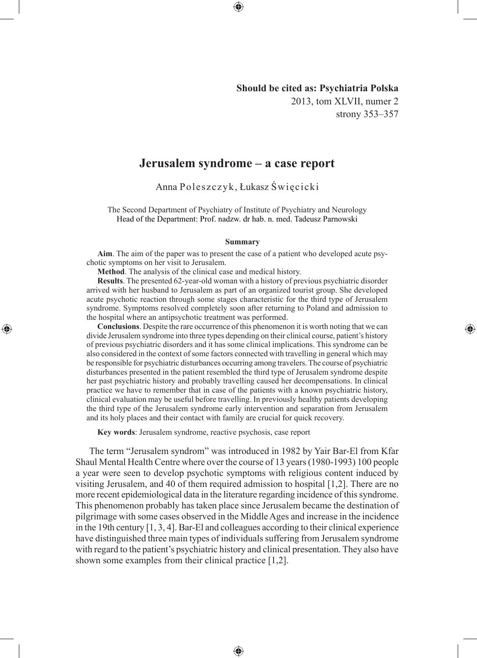# **Should be cited as: Psychiatria Polska** 2013, tom XLVII, numer 2 strony 353–357

◈

# **Jerusalem syndrome – a case report**

Anna Poleszczyk, Łukasz Święcicki

The Second Department of Psychiatry of Institute of Psychiatry and Neurology Head of the Department: Prof. nadzw. dr hab. n. med. Tadeusz Parnowski

#### **Summary**

**Aim**. The aim of the paper was to present the case of a patient who developed acute psychotic symptoms on her visit to Jerusalem.

**Method**. The analysis of the clinical case and medical history.

◈

**Results**. The presented 62-year-old woman with a history of previous psychiatric disorder arrived with her husband to Jerusalem as part of an organized tourist group. She developed acute psychotic reaction through some stages characteristic for the third type of Jerusalem syndrome. Symptoms resolved completely soon after returning to Poland and admission to the hospital where an antipsychotic treatment was performed.

**Conclusions**. Despite the rare occurrence of this phenomenon it is worth noting that we can divide Jerusalem syndrome into three types depending on their clinical course, patient's history of previous psychiatric disorders and it has some clinical implications. This syndrome can be also considered in the context of some factors connected with travelling in general which may be responsible for psychiatric disturbances occurring among travelers. The course of psychiatric disturbances presented in the patient resembled the third type of Jerusalem syndrome despite her past psychiatric history and probably travelling caused her decompensations. In clinical practice we have to remember that in case of the patients with a known psychiatric history, clinical evaluation may be useful before travelling. In previously healthy patients developing the third type of the Jerusalem syndrome early intervention and separation from Jerusalem and its holy places and their contact with family are crucial for quick recovery.

**Key words**: Jerusalem syndrome, reactive psychosis, case report

The term "Jerusalem syndrom" was introduced in 1982 by Yair Bar-El from Kfar Shaul Mental Health Centre where over the course of 13 years (1980-1993) 100 people a year were seen to develop psychotic symptoms with religious content induced by visiting Jerusalem, and 40 of them required admission to hospital [1,2]. There are no more recent epidemiological data in the literature regarding incidence of this syndrome. This phenomenon probably has taken place since Jerusalem became the destination of pilgrimage with some cases observed in the Middle Ages and increase in the incidence in the 19th century [1, 3, 4]. Bar-El and colleagues according to their clinical experience have distinguished three main types of individuals suffering from Jerusalem syndrome with regard to the patient's psychiatric history and clinical presentation. They also have shown some examples from their clinical practice [1,2].

⊕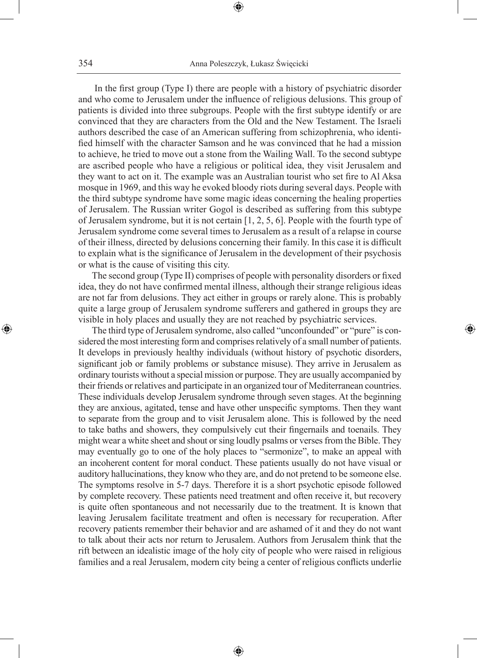⊕

 In the first group (Type I) there are people with a history of psychiatric disorder and who come to Jerusalem under the influence of religious delusions. This group of patients is divided into three subgroups. People with the first subtype identify or are convinced that they are characters from the Old and the New Testament. The Israeli authors described the case of an American suffering from schizophrenia, who identified himself with the character Samson and he was convinced that he had a mission to achieve, he tried to move out a stone from the Wailing Wall. To the second subtype are ascribed people who have a religious or political idea, they visit Jerusalem and they want to act on it. The example was an Australian tourist who set fire to Al Aksa mosque in 1969, and this way he evoked bloody riots during several days. People with the third subtype syndrome have some magic ideas concerning the healing properties of Jerusalem. The Russian writer Gogol is described as suffering from this subtype of Jerusalem syndrome, but it is not certain [1, 2, 5, 6]. People with the fourth type of Jerusalem syndrome come several times to Jerusalem as a result of a relapse in course of their illness, directed by delusions concerning their family. In this case it is difficult to explain what is the significance of Jerusalem in the development of their psychosis or what is the cause of visiting this city.

The second group (Type II) comprises of people with personality disorders or fixed idea, they do not have confirmed mental illness, although their strange religious ideas are not far from delusions. They act either in groups or rarely alone. This is probably quite a large group of Jerusalem syndrome sufferers and gathered in groups they are visible in holy places and usually they are not reached by psychiatric services.

⊕

The third type of Jerusalem syndrome, also called "unconfounded" or "pure" is considered the most interesting form and comprises relatively of a small number of patients. It develops in previously healthy individuals (without history of psychotic disorders, significant job or family problems or substance misuse). They arrive in Jerusalem as ordinary tourists without a special mission or purpose. They are usually accompanied by their friends or relatives and participate in an organized tour of Mediterranean countries. These individuals develop Jerusalem syndrome through seven stages. At the beginning they are anxious, agitated, tense and have other unspecific symptoms. Then they want to separate from the group and to visit Jerusalem alone. This is followed by the need to take baths and showers, they compulsively cut their fingernails and toenails. They might wear a white sheet and shout or sing loudly psalms or verses from the Bible. They may eventually go to one of the holy places to "sermonize", to make an appeal with an incoherent content for moral conduct. These patients usually do not have visual or auditory hallucinations, they know who they are, and do not pretend to be someone else. The symptoms resolve in 5-7 days. Therefore it is a short psychotic episode followed by complete recovery. These patients need treatment and often receive it, but recovery is quite often spontaneous and not necessarily due to the treatment. It is known that leaving Jerusalem facilitate treatment and often is necessary for recuperation. After recovery patients remember their behavior and are ashamed of it and they do not want to talk about their acts nor return to Jerusalem. Authors from Jerusalem think that the rift between an idealistic image of the holy city of people who were raised in religious families and a real Jerusalem, modern city being a center of religious conflicts underlie

⊕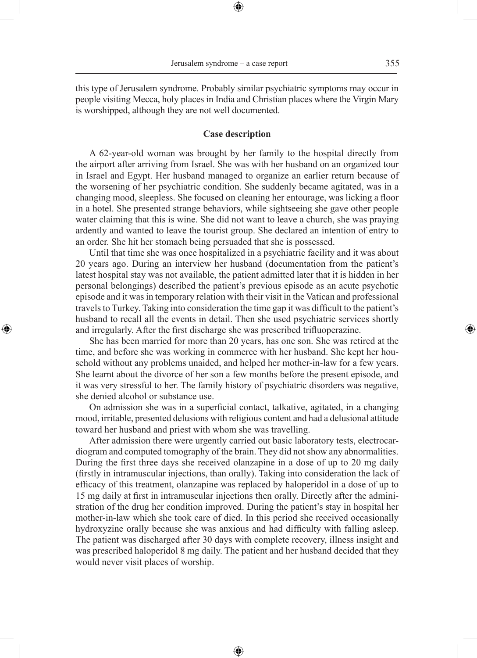this type of Jerusalem syndrome. Probably similar psychiatric symptoms may occur in people visiting Mecca, holy places in India and Christian places where the Virgin Mary is worshipped, although they are not well documented.

⊕

### **Case description**

A 62-year-old woman was brought by her family to the hospital directly from the airport after arriving from Israel. She was with her husband on an organized tour in Israel and Egypt. Her husband managed to organize an earlier return because of the worsening of her psychiatric condition. She suddenly became agitated, was in a changing mood, sleepless. She focused on cleaning her entourage, was licking a floor in a hotel. She presented strange behaviors, while sightseeing she gave other people water claiming that this is wine. She did not want to leave a church, she was praying ardently and wanted to leave the tourist group. She declared an intention of entry to an order. She hit her stomach being persuaded that she is possessed.

Until that time she was once hospitalized in a psychiatric facility and it was about 20 years ago. During an interview her husband (documentation from the patient's latest hospital stay was not available, the patient admitted later that it is hidden in her personal belongings) described the patient's previous episode as an acute psychotic episode and it was in temporary relation with their visit in the Vatican and professional travels to Turkey. Taking into consideration the time gap it was difficult to the patient's husband to recall all the events in detail. Then she used psychiatric services shortly and irregularly. After the first discharge she was prescribed trifluoperazine.

◈

She has been married for more than 20 years, has one son. She was retired at the time, and before she was working in commerce with her husband. She kept her household without any problems unaided, and helped her mother-in-law for a few years. She learnt about the divorce of her son a few months before the present episode, and it was very stressful to her. The family history of psychiatric disorders was negative, she denied alcohol or substance use.

On admission she was in a superficial contact, talkative, agitated, in a changing mood, irritable, presented delusions with religious content and had a delusional attitude toward her husband and priest with whom she was travelling.

After admission there were urgently carried out basic laboratory tests, electrocardiogram and computed tomography of the brain. They did not show any abnormalities. During the first three days she received olanzapine in a dose of up to 20 mg daily (firstly in intramuscular injections, than orally). Taking into consideration the lack of efficacy of this treatment, olanzapine was replaced by haloperidol in a dose of up to 15 mg daily at first in intramuscular injections then orally. Directly after the administration of the drug her condition improved. During the patient's stay in hospital her mother-in-law which she took care of died. In this period she received occasionally hydroxyzine orally because she was anxious and had difficulty with falling asleep. The patient was discharged after 30 days with complete recovery, illness insight and was prescribed haloperidol 8 mg daily. The patient and her husband decided that they would never visit places of worship.

⊕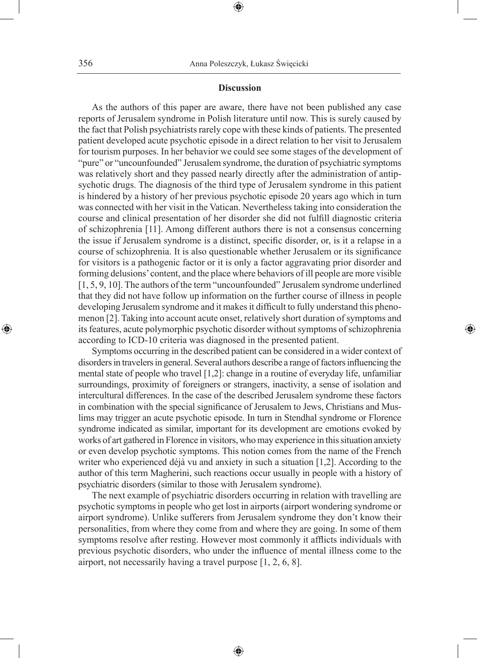### **Discussion**

⊕

As the authors of this paper are aware, there have not been published any case reports of Jerusalem syndrome in Polish literature until now. This is surely caused by the fact that Polish psychiatrists rarely cope with these kinds of patients. The presented patient developed acute psychotic episode in a direct relation to her visit to Jerusalem for tourism purposes. In her behavior we could see some stages of the development of "pure" or "uncounfounded" Jerusalem syndrome, the duration of psychiatric symptoms was relatively short and they passed nearly directly after the administration of antipsychotic drugs. The diagnosis of the third type of Jerusalem syndrome in this patient is hindered by a history of her previous psychotic episode 20 years ago which in turn was connected with her visit in the Vatican. Nevertheless taking into consideration the course and clinical presentation of her disorder she did not fulfill diagnostic criteria of schizophrenia [11]. Among different authors there is not a consensus concerning the issue if Jerusalem syndrome is a distinct, specific disorder, or, is it a relapse in a course of schizophrenia. It is also questionable whether Jerusalem or its significance for visitors is a pathogenic factor or it is only a factor aggravating prior disorder and forming delusions' content, and the place where behaviors of ill people are more visible [1, 5, 9, 10]. The authors of the term "uncounfounded" Jerusalem syndrome underlined that they did not have follow up information on the further course of illness in people developing Jerusalem syndrome and it makes it difficult to fully understand this phenomenon [2]. Taking into account acute onset, relatively short duration of symptoms and its features, acute polymorphic psychotic disorder without symptoms of schizophrenia according to ICD-10 criteria was diagnosed in the presented patient.

Symptoms occurring in the described patient can be considered in a wider context of disorders in travelers in general. Several authors describe a range of factors influencing the mental state of people who travel [1,2]: change in a routine of everyday life, unfamiliar surroundings, proximity of foreigners or strangers, inactivity, a sense of isolation and intercultural differences. In the case of the described Jerusalem syndrome these factors in combination with the special significance of Jerusalem to Jews, Christians and Muslims may trigger an acute psychotic episode. In turn in Stendhal syndrome or Florence syndrome indicated as similar, important for its development are emotions evoked by works of art gathered in Florence in visitors, who may experience in this situation anxiety or even develop psychotic symptoms. This notion comes from the name of the French writer who experienced déjà vu and anxiety in such a situation [1,2]. According to the author of this term Magherini, such reactions occur usually in people with a history of psychiatric disorders (similar to those with Jerusalem syndrome).

◈

The next example of psychiatric disorders occurring in relation with travelling are psychotic symptoms in people who get lost in airports (airport wondering syndrome or airport syndrome). Unlike sufferers from Jerusalem syndrome they don't know their personalities, from where they come from and where they are going. In some of them symptoms resolve after resting. However most commonly it afflicts individuals with previous psychotic disorders, who under the influence of mental illness come to the airport, not necessarily having a travel purpose [1, 2, 6, 8].

⊕